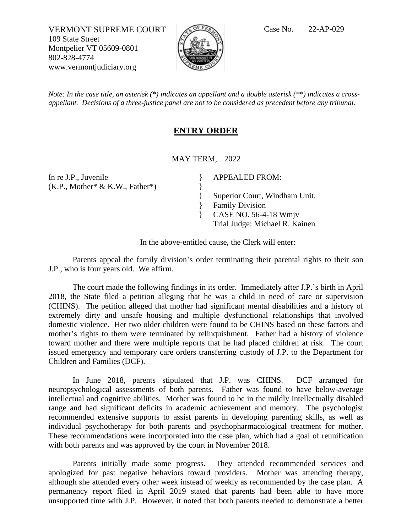VERMONT SUPREME COURT  $\sqrt{C}$ <sup>of *VER*</sup> Case No. 22-AP-029 109 State Street Montpelier VT 05609-0801 802-828-4774 www.vermontjudiciary.org



*Note: In the case title, an asterisk (\*) indicates an appellant and a double asterisk (\*\*) indicates a crossappellant. Decisions of a three-justice panel are not to be considered as precedent before any tribunal.*

## **ENTRY ORDER**

MAY TERM, 2022

} }

} }

In re J.P., Juvenile  $(K.P., Mother^* & K.W., Father^*)$  APPEALED FROM:

Superior Court, Windham Unit, Family Division } CASE NO. 56-4-18 Wmjv

Trial Judge: Michael R. Kainen

In the above-entitled cause, the Clerk will enter:

Parents appeal the family division's order terminating their parental rights to their son J.P., who is four years old. We affirm.

The court made the following findings in its order. Immediately after J.P.'s birth in April 2018, the State filed a petition alleging that he was a child in need of care or supervision (CHINS). The petition alleged that mother had significant mental disabilities and a history of extremely dirty and unsafe housing and multiple dysfunctional relationships that involved domestic violence. Her two older children were found to be CHINS based on these factors and mother's rights to them were terminated by relinquishment. Father had a history of violence toward mother and there were multiple reports that he had placed children at risk. The court issued emergency and temporary care orders transferring custody of J.P. to the Department for Children and Families (DCF).

In June 2018, parents stipulated that J.P. was CHINS. DCF arranged for neuropsychological assessments of both parents. Father was found to have below-average intellectual and cognitive abilities. Mother was found to be in the mildly intellectually disabled range and had significant deficits in academic achievement and memory. The psychologist recommended extensive supports to assist parents in developing parenting skills, as well as individual psychotherapy for both parents and psychopharmacological treatment for mother. These recommendations were incorporated into the case plan, which had a goal of reunification with both parents and was approved by the court in November 2018.

Parents initially made some progress. They attended recommended services and apologized for past negative behaviors toward providers. Mother was attending therapy, although she attended every other week instead of weekly as recommended by the case plan. A permanency report filed in April 2019 stated that parents had been able to have more unsupported time with J.P. However, it noted that both parents needed to demonstrate a better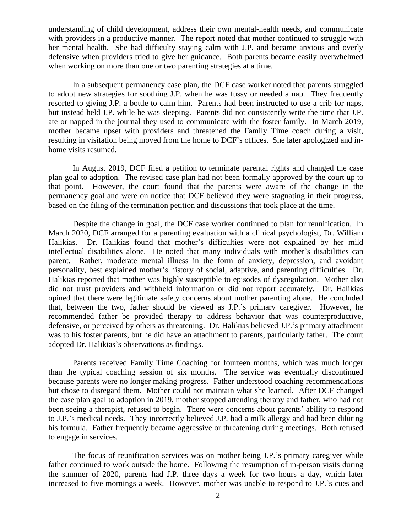understanding of child development, address their own mental-health needs, and communicate with providers in a productive manner. The report noted that mother continued to struggle with her mental health. She had difficulty staying calm with J.P. and became anxious and overly defensive when providers tried to give her guidance. Both parents became easily overwhelmed when working on more than one or two parenting strategies at a time.

In a subsequent permanency case plan, the DCF case worker noted that parents struggled to adopt new strategies for soothing J.P. when he was fussy or needed a nap. They frequently resorted to giving J.P. a bottle to calm him. Parents had been instructed to use a crib for naps, but instead held J.P. while he was sleeping. Parents did not consistently write the time that J.P. ate or napped in the journal they used to communicate with the foster family. In March 2019, mother became upset with providers and threatened the Family Time coach during a visit, resulting in visitation being moved from the home to DCF's offices. She later apologized and inhome visits resumed.

In August 2019, DCF filed a petition to terminate parental rights and changed the case plan goal to adoption. The revised case plan had not been formally approved by the court up to that point. However, the court found that the parents were aware of the change in the permanency goal and were on notice that DCF believed they were stagnating in their progress, based on the filing of the termination petition and discussions that took place at the time.

Despite the change in goal, the DCF case worker continued to plan for reunification. In March 2020, DCF arranged for a parenting evaluation with a clinical psychologist, Dr. William Halikias. Dr. Halikias found that mother's difficulties were not explained by her mild intellectual disabilities alone. He noted that many individuals with mother's disabilities can parent. Rather, moderate mental illness in the form of anxiety, depression, and avoidant personality, best explained mother's history of social, adaptive, and parenting difficulties. Dr. Halikias reported that mother was highly susceptible to episodes of dysregulation. Mother also did not trust providers and withheld information or did not report accurately. Dr. Halikias opined that there were legitimate safety concerns about mother parenting alone. He concluded that, between the two, father should be viewed as J.P.'s primary caregiver. However, he recommended father be provided therapy to address behavior that was counterproductive, defensive, or perceived by others as threatening. Dr. Halikias believed J.P.'s primary attachment was to his foster parents, but he did have an attachment to parents, particularly father. The court adopted Dr. Halikias's observations as findings.

Parents received Family Time Coaching for fourteen months, which was much longer than the typical coaching session of six months. The service was eventually discontinued because parents were no longer making progress. Father understood coaching recommendations but chose to disregard them. Mother could not maintain what she learned. After DCF changed the case plan goal to adoption in 2019, mother stopped attending therapy and father, who had not been seeing a therapist, refused to begin. There were concerns about parents' ability to respond to J.P.'s medical needs. They incorrectly believed J.P. had a milk allergy and had been diluting his formula. Father frequently became aggressive or threatening during meetings. Both refused to engage in services.

The focus of reunification services was on mother being J.P.'s primary caregiver while father continued to work outside the home. Following the resumption of in-person visits during the summer of 2020, parents had J.P. three days a week for two hours a day, which later increased to five mornings a week. However, mother was unable to respond to J.P.'s cues and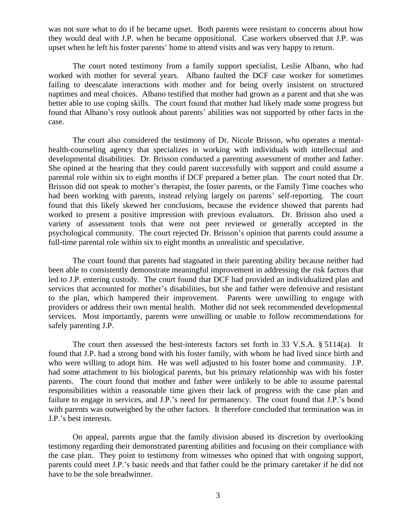was not sure what to do if he became upset. Both parents were resistant to concerns about how they would deal with J.P. when he became oppositional. Case workers observed that J.P. was upset when he left his foster parents' home to attend visits and was very happy to return.

The court noted testimony from a family support specialist, Leslie Albano, who had worked with mother for several years. Albano faulted the DCF case worker for sometimes failing to deescalate interactions with mother and for being overly insistent on structured naptimes and meal choices. Albano testified that mother had grown as a parent and that she was better able to use coping skills. The court found that mother had likely made some progress but found that Albano's rosy outlook about parents' abilities was not supported by other facts in the case.

The court also considered the testimony of Dr. Nicole Brisson, who operates a mentalhealth-counseling agency that specializes in working with individuals with intellectual and developmental disabilities. Dr. Brisson conducted a parenting assessment of mother and father. She opined at the hearing that they could parent successfully with support and could assume a parental role within six to eight months if DCF prepared a better plan. The court noted that Dr. Brisson did not speak to mother's therapist, the foster parents, or the Family Time coaches who had been working with parents, instead relying largely on parents' self-reporting. The court found that this likely skewed her conclusions, because the evidence showed that parents had worked to present a positive impression with previous evaluators. Dr. Brisson also used a variety of assessment tools that were not peer reviewed or generally accepted in the psychological community. The court rejected Dr. Brisson's opinion that parents could assume a full-time parental role within six to eight months as unrealistic and speculative.

The court found that parents had stagnated in their parenting ability because neither had been able to consistently demonstrate meaningful improvement in addressing the risk factors that led to J.P. entering custody. The court found that DCF had provided an individualized plan and services that accounted for mother's disabilities, but she and father were defensive and resistant to the plan, which hampered their improvement. Parents were unwilling to engage with providers or address their own mental health. Mother did not seek recommended developmental services. Most importantly, parents were unwilling or unable to follow recommendations for safely parenting J.P.

The court then assessed the best-interests factors set forth in 33 V.S.A. § 5114(a). It found that J.P. had a strong bond with his foster family, with whom he had lived since birth and who were willing to adopt him. He was well adjusted to his foster home and community. J.P. had some attachment to his biological parents, but his primary relationship was with his foster parents. The court found that mother and father were unlikely to be able to assume parental responsibilities within a reasonable time given their lack of progress with the case plan and failure to engage in services, and J.P.'s need for permanency. The court found that J.P.'s bond with parents was outweighed by the other factors. It therefore concluded that termination was in J.P.'s best interests.

On appeal, parents argue that the family division abused its discretion by overlooking testimony regarding their demonstrated parenting abilities and focusing on their compliance with the case plan. They point to testimony from witnesses who opined that with ongoing support, parents could meet J.P.'s basic needs and that father could be the primary caretaker if he did not have to be the sole breadwinner.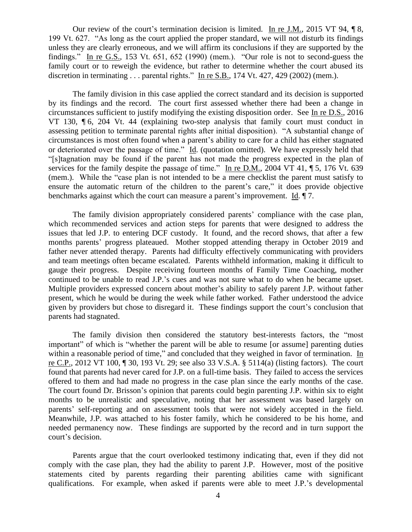Our review of the court's termination decision is limited. In re J.M., 2015 VT 94, ¶ 8, 199 Vt. 627. "As long as the court applied the proper standard, we will not disturb its findings unless they are clearly erroneous, and we will affirm its conclusions if they are supported by the findings." In re G.S., 153 Vt. 651, 652 (1990) (mem.). "Our role is not to second-guess the family court or to reweigh the evidence, but rather to determine whether the court abused its discretion in terminating . . . parental rights." In re S.B., 174 Vt. 427, 429 (2002) (mem.).

The family division in this case applied the correct standard and its decision is supported by its findings and the record. The court first assessed whether there had been a change in circumstances sufficient to justify modifying the existing disposition order. See In re D.S., 2016 VT 130, ¶ 6, 204 Vt. 44 (explaining two-step analysis that family court must conduct in assessing petition to terminate parental rights after initial disposition). "A substantial change of circumstances is most often found when a parent's ability to care for a child has either stagnated or deteriorated over the passage of time." Id. (quotation omitted). We have expressly held that "[s]tagnation may be found if the parent has not made the progress expected in the plan of services for the family despite the passage of time." In re D.M., 2004 VT 41, 1 5, 176 Vt. 639 (mem.). While the "case plan is not intended to be a mere checklist the parent must satisfy to ensure the automatic return of the children to the parent's care," it does provide objective benchmarks against which the court can measure a parent's improvement. Id. ¶ 7.

The family division appropriately considered parents' compliance with the case plan, which recommended services and action steps for parents that were designed to address the issues that led J.P. to entering DCF custody. It found, and the record shows, that after a few months parents' progress plateaued. Mother stopped attending therapy in October 2019 and father never attended therapy. Parents had difficulty effectively communicating with providers and team meetings often became escalated. Parents withheld information, making it difficult to gauge their progress. Despite receiving fourteen months of Family Time Coaching, mother continued to be unable to read J.P.'s cues and was not sure what to do when he became upset. Multiple providers expressed concern about mother's ability to safely parent J.P. without father present, which he would be during the week while father worked. Father understood the advice given by providers but chose to disregard it. These findings support the court's conclusion that parents had stagnated.

The family division then considered the statutory best-interests factors, the "most important" of which is "whether the parent will be able to resume [or assume] parenting duties within a reasonable period of time," and concluded that they weighed in favor of termination. In re C.P., 2012 VT 100, ¶ 30, 193 Vt. 29; see also 33 V.S.A. § 5114(a) (listing factors). The court found that parents had never cared for J.P. on a full-time basis. They failed to access the services offered to them and had made no progress in the case plan since the early months of the case. The court found Dr. Brisson's opinion that parents could begin parenting J.P. within six to eight months to be unrealistic and speculative, noting that her assessment was based largely on parents' self-reporting and on assessment tools that were not widely accepted in the field. Meanwhile, J.P. was attached to his foster family, which he considered to be his home, and needed permanency now. These findings are supported by the record and in turn support the court's decision.

Parents argue that the court overlooked testimony indicating that, even if they did not comply with the case plan, they had the ability to parent J.P. However, most of the positive statements cited by parents regarding their parenting abilities came with significant qualifications. For example, when asked if parents were able to meet J.P.'s developmental